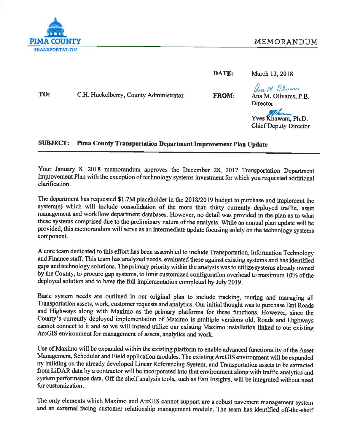

DATE: March 13, 2018

TO: C.H. Huckelberry, County Administrator **FROM:** 

ans M Olivers Ana M. Olivares, P.E. **Director** 

Yves Khawam, Ph.D. **Chief Deputy Director** 

#### **SUBJECT:** Pima County Transportation Department Improvement Plan Update

Your January 8, 2018 memorandum approves the December 28, 2017 Transportation Department Improvement Plan with the exception of technology systems investment for which you requested additional clarification.

The department has requested \$1.7M placeholder in the 2018/2019 budget to purchase and implement the system(s) which will include consolidation of the more than thirty currently deployed traffic, asset management and workflow department databases. However, no detail was provided in the plan as to what these systems comprised due to the preliminary nature of the analysis. While an annual plan update will be provided, this memorandum will serve as an intermediate update focusing solely on the technology systems component.

A core team dedicated to this effort has been assembled to include Transportation, Information Technology and Finance staff. This team has analyzed needs, evaluated these against existing systems and has identified gaps and technology solutions. The primary priority within the analysis was to utilize systems already owned by the County, to procure gap systems, to limit customized configuration overhead to maximum 10% of the deployed solution and to have the full implementation completed by July 2019.

Basic system needs are outlined in our original plan to include tracking, routing and managing all Transportation assets, work, customer requests and analytics. Our initial thought was to purchase Esri Roads and Highways along with Maximo as the primary platforms for these functions. However, since the County's currently deployed implementation of Maximo is multiple versions old, Roads and Highways cannot connect to it and so we will instead utilize our existing Maximo installation linked to our existing ArcGIS environment for management of assets, analytics and work.

Use of Maximo will be expanded within the existing platform to enable advanced functionality of the Asset Management, Scheduler and Field application modules. The existing ArcGIS environment will be expanded by building on the already developed Linear Referencing System, and Transportation assets to be extracted from LiDAR data by a contractor will be incorporated into that environment along with traffic analytics and system performance data. Off the shelf analysis tools, such as Esri Insights, will be integrated without need for customization.

The only elements which Maximo and ArcGIS cannot support are a robust pavement management system and an external facing customer relationship management module. The team has identified off-the-shelf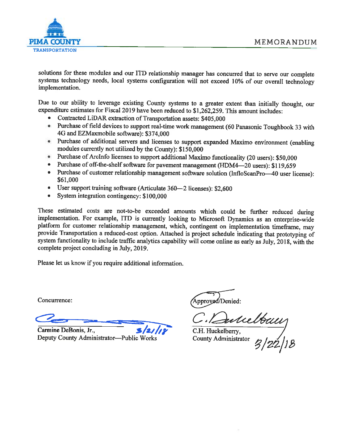

solutions for these modules and our ITD relationship manager has concurred that to serve our complete systems technology needs, local systems configuration will not exceed 10% of our overall technology implementation.

Due to our ability to leverage existing County systems to a greater extent than initially thought, our expenditure estimates for Fiscal 2019 have been reduced to \$1,262,259. This amount includes:

- Contracted LiDAR extraction of Transportation assets: \$405,000
- Purchase of field devices to support real-time work management (60 Panasonic Toughbook 33 with 4G and EZMaxmobile software): \$374,000
- Purchase of additional servers and licenses to support expanded Maximo environment (enabling modules currently not utilized by the County): \$150,000
- Purchase of ArcInfo licenses to support additional Maximo functionality (20 users): \$50,000
- Purchase of off-the-shelf software for pavement management (HDM4—20 users): \$119,659  $\bullet$
- Purchase of customer relationship management software solution (InfloScanPro—40 user license): \$61,000
- User support training software (Articulate 360-2 licenses): \$2,600
- System integration contingency: \$100,000

These estimated costs are not-to-be exceeded amounts which could be further reduced during implementation. For example, ITD is currently looking to Microsoft Dynamics as an enterprise-wide platform for customer relationship management, which, contingent on implementation timeframe, may provide Transportation a reduced-cost option. Attached is project schedule indicating that prototyping of system functionality to include traffic analytics capability will come online as early as July, 2018, with the complete project concluding in July, 2019.

Please let us know if you require additional information.

Concurrence:

Carmine DeBonis, Jr., Deputy County Administrator-Public Works

pproved/Denied:

C. Dubelbau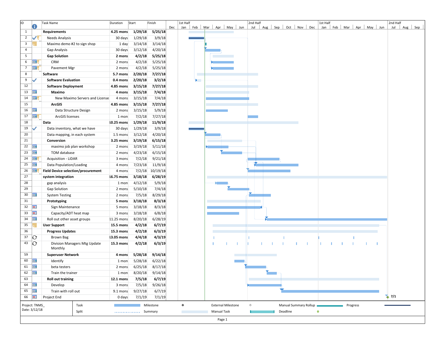| ID.                     |                                                    | <b>Task Name</b>                   |                                 | Duration                      | Start             | Finish            |     | 1st Half  |                  |                             | 2nd Half   |                             |          |                       | 1st Half |  |                     |    | 2nd Half |         |
|-------------------------|----------------------------------------------------|------------------------------------|---------------------------------|-------------------------------|-------------------|-------------------|-----|-----------|------------------|-----------------------------|------------|-----------------------------|----------|-----------------------|----------|--|---------------------|----|----------|---------|
|                         | O                                                  |                                    |                                 |                               |                   |                   | Dec | Jan       |                  | Feb   Mar   Apr   May   Jun | Jul        | Aug   Sep   Oct   Nov   Dec |          |                       | Jan      |  | Feb Mar Apr May Jun |    | Jul      | Aug Sep |
| $\mathbf{1}$            |                                                    | <b>Requirements</b>                |                                 | 4.25 mons                     | 1/29/18           | 5/25/18           |     |           |                  |                             |            |                             |          |                       |          |  |                     |    |          |         |
| $\overline{2}$          | ✓ч                                                 | Needs Analysis                     |                                 | 30 days                       | 1/29/18           | 3/9/18            |     |           |                  |                             |            |                             |          |                       |          |  |                     |    |          |         |
| $\overline{\mathbf{3}}$ |                                                    | Maximo demo #2 to sign shop        |                                 | 1 day                         | 3/14/18           | 3/14/18           |     |           |                  |                             |            |                             |          |                       |          |  |                     |    |          |         |
| $\overline{a}$          |                                                    | Gap Analysis                       |                                 | 30 days                       | 3/12/18           | 4/20/18           |     |           |                  |                             |            |                             |          |                       |          |  |                     |    |          |         |
| 5                       |                                                    | <b>Gap Solution</b>                |                                 | 2 mons                        | 4/2/18            | 5/25/18           |     |           |                  |                             |            |                             |          |                       |          |  |                     |    |          |         |
| 6                       | 囲、                                                 | CRM                                |                                 | 2 mons                        | 4/2/18            | 5/25/18           |     |           |                  |                             |            |                             |          |                       |          |  |                     |    |          |         |
| $\overline{7}$          | <b>ER</b>                                          | Pavement Mgr                       |                                 | 2 mons                        | 4/2/18            | 5/25/18           |     |           |                  |                             |            |                             |          |                       |          |  |                     |    |          |         |
| 8                       |                                                    | Software                           |                                 | 5.7 mons                      | 2/20/18           | 7/27/18           |     |           | <b>The State</b> |                             |            |                             |          |                       |          |  |                     |    |          |         |
| 9                       |                                                    | <b>Software Evaluation</b>         |                                 | 0.4 mons                      | 2/20/18           | 3/2/18            |     |           |                  |                             |            |                             |          |                       |          |  |                     |    |          |         |
| 12                      |                                                    | <b>Software Deployment</b>         |                                 | 4.85 mons                     | 3/15/18           | 7/27/18           |     |           |                  |                             |            |                             |          |                       |          |  |                     |    |          |         |
| 13                      | <b>III</b>                                         | Maximo                             |                                 | 4 mons                        | 3/15/18           | 7/4/18            |     |           |                  |                             |            |                             |          |                       |          |  |                     |    |          |         |
| 14                      | ⊞、                                                 |                                    | New Maximo Servers and License: | 4 mons                        | 3/15/18           | 7/4/18            |     |           |                  |                             |            |                             |          |                       |          |  |                     |    |          |         |
| 15                      |                                                    | <b>ArcGIS</b>                      |                                 | 4.85 mons                     | 3/15/18           | 7/27/18           |     |           |                  |                             |            |                             |          |                       |          |  |                     |    |          |         |
| 16                      | E                                                  | Data Structure Design              |                                 | 2 mons                        | 3/15/18           | 5/9/18            |     |           |                  |                             |            |                             |          |                       |          |  |                     |    |          |         |
| 17                      | 圃、                                                 | <b>ArcGIS licenses</b>             |                                 | 1 mon                         | 7/2/18            | 7/27/18           |     |           |                  |                             |            |                             |          |                       |          |  |                     |    |          |         |
| 18                      |                                                    | Data                               |                                 | 10.25 mons                    | 1/29/18           | 11/9/18           |     |           |                  |                             |            |                             |          |                       |          |  |                     |    |          |         |
| 19                      | ✓                                                  | Data inventory, what we have       |                                 | 30 days                       | 1/29/18           | 3/9/18            |     |           |                  |                             |            |                             |          |                       |          |  |                     |    |          |         |
| 20                      |                                                    | Data mapping, in each system       |                                 | 1.5 mons                      | 3/12/18           | 4/20/18           |     |           |                  |                             |            |                             |          |                       |          |  |                     |    |          |         |
| 21                      |                                                    | Conversion                         |                                 | 3.25 mons                     | 3/19/18           | 6/15/18           |     |           |                  |                             |            |                             |          |                       |          |  |                     |    |          |         |
| 22                      | E                                                  | maximo job plan workshop           |                                 | 2 mons                        | 3/19/18           | 5/11/18           |     |           |                  |                             |            |                             |          |                       |          |  |                     |    |          |         |
| 23                      | E                                                  | TOM database                       |                                 | 2 mons                        | 4/23/18           | 6/15/18           |     |           |                  |                             |            |                             |          |                       |          |  |                     |    |          |         |
| 24                      | 囲                                                  | <b>Acquisition - LiDAR</b>         |                                 | 3 mons                        | 7/2/18            | 9/21/18           |     |           |                  |                             |            |                             |          |                       |          |  |                     |    |          |         |
| 25                      | 噩                                                  | Data Population/Loading            |                                 | 4 mons                        | 7/23/18           | 11/9/18           |     |           |                  |                             |            |                             |          |                       |          |  |                     |    |          |         |
| 26                      | 囲.                                                 | Field Device selection/procurement |                                 | 4 mons                        | 7/2/18            | 10/19/18          |     |           |                  |                             |            |                             |          |                       |          |  |                     |    |          |         |
| 27                      |                                                    | system integration                 |                                 | 16.75 mons                    | 3/18/18           | 6/28/19           |     |           |                  |                             |            |                             |          |                       |          |  |                     |    |          |         |
| 28                      |                                                    | gap analysis                       |                                 | 1 mon                         | 4/12/18           | 5/9/18            |     |           |                  |                             |            |                             |          |                       |          |  |                     |    |          |         |
| 29                      |                                                    | <b>Gap Solution</b>                |                                 | 2 mons                        | 5/10/18           | 7/4/18            |     |           |                  |                             |            |                             |          |                       |          |  |                     |    |          |         |
| 30                      | E                                                  | <b>System Testing</b>              |                                 | 2 mons                        | 7/5/18            | 8/29/18           |     |           |                  |                             |            |                             |          |                       |          |  |                     |    |          |         |
| 31                      |                                                    | Prototyping                        |                                 | 5 mons                        | 3/18/18           | 8/3/18            |     |           |                  |                             |            |                             |          |                       |          |  |                     |    |          |         |
| 32                      | ш                                                  | Sign Maintenance                   |                                 | 5 mons                        | 3/18/18           | 8/3/18            |     |           |                  |                             |            |                             |          |                       |          |  |                     |    |          |         |
| 33                      | E                                                  | Capacity/ADT heat map              |                                 | 3 mons                        | 3/18/18           | 6/8/18            |     |           |                  |                             |            |                             |          |                       |          |  |                     |    |          |         |
| 34                      | 噩                                                  |                                    |                                 | 11.25 mons                    |                   |                   |     |           |                  |                             |            |                             |          |                       |          |  |                     |    |          |         |
| 35                      |                                                    | Roll out other asset groups        |                                 |                               | 8/20/18<br>4/2/18 | 6/28/19<br>6/7/19 |     |           |                  |                             |            |                             |          |                       |          |  |                     |    |          |         |
| 36                      |                                                    | <b>User Support</b>                |                                 | <b>15.5 mons</b><br>15.3 mons |                   | 6/3/19            |     |           |                  |                             |            |                             |          |                       |          |  |                     |    |          |         |
| 37                      |                                                    | <b>Progress Updates</b>            |                                 | 13.05 mons                    | 4/2/18<br>4/4/18  |                   |     |           |                  |                             |            |                             |          |                       |          |  |                     |    |          |         |
| 43                      | Ю<br>$\circ$                                       | <b>Brown Bag</b>                   |                                 |                               |                   | 4/3/19            |     |           |                  |                             |            |                             |          | п                     |          |  |                     | -1 |          |         |
|                         |                                                    | Monthly                            | Division Managers Mtg Update    | 15.3 mons                     | 4/2/18            | 6/3/19            |     |           |                  |                             |            |                             |          |                       |          |  |                     |    |          |         |
| 59                      |                                                    | <b>Superuser Network</b>           |                                 | 4 mons                        | 5/28/18           | 9/14/18           |     |           |                  |                             |            |                             |          |                       |          |  |                     |    |          |         |
| 60                      | E                                                  | Identify                           |                                 | 1 mon                         | 5/28/18           | 6/22/18           |     |           |                  |                             |            |                             |          |                       |          |  |                     |    |          |         |
| 61                      | <b>HH</b>                                          | beta testers                       |                                 | 2 mons                        | 6/25/18           | 8/17/18           |     |           |                  |                             |            |                             |          |                       |          |  |                     |    |          |         |
| 62 $\overline{H}$       |                                                    |                                    |                                 |                               |                   |                   |     |           |                  |                             |            |                             |          |                       |          |  |                     |    |          |         |
| 63                      |                                                    | Train the trainer                  |                                 | 1 mon                         | 8/20/18           | 9/14/18<br>6/7/19 |     |           |                  |                             |            |                             |          |                       |          |  |                     |    |          |         |
| 64                      | <b>Roll out training</b><br><b>HELE</b><br>Develop |                                    | 12.1 mons                       | 7/5/18                        |                   |                   |     |           |                  |                             |            |                             |          |                       |          |  |                     |    |          |         |
|                         | <b>IHE</b>                                         |                                    |                                 | 3 mons                        | 7/5/18            | 9/26/18           |     |           |                  |                             |            |                             |          |                       |          |  |                     |    |          |         |
| 65                      |                                                    | Train with roll out                |                                 | 9.1 mons                      | 9/27/18           | 6/7/19            |     |           |                  |                             |            |                             |          |                       |          |  |                     |    | 7/1      |         |
| 66                      | $\blacksquare$                                     | Project End                        |                                 | 0 days                        | 7/1/19            | 7/1/19            |     |           |                  |                             |            |                             |          |                       |          |  |                     |    |          |         |
| Project: TNMS           |                                                    |                                    | Task                            |                               |                   | Milestone         |     | $\bullet$ |                  | <b>External Milestone</b>   | $\Diamond$ |                             |          | Manual Summary Rollup |          |  | Progress            |    |          |         |
| Date: 3/12/18           |                                                    |                                    | Split                           |                               | Summary           |                   |     |           |                  | <b>Manual Task</b>          |            |                             | Deadline |                       | ⊕        |  |                     |    |          |         |
|                         |                                                    |                                    |                                 |                               |                   |                   |     |           |                  | Page 1                      |            |                             |          |                       |          |  |                     |    |          |         |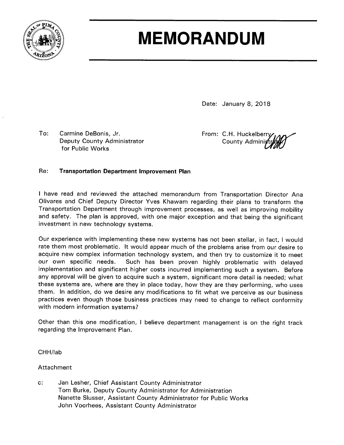

# **MEMORANDUM**

Date: January 8, 2018

To: Carmine DeBonis, Jr. Deputy County Administrator for Public Works

From: C.H. Huckelberry County Admini;

#### Re: **Transportation Department Improvement Plan**

I have read and reviewed the attached memorandum from Transportation Director Ana Olivares and Chief Deputy Director Yves Khawam regarding their plans to transform the Transportation Department through improvement processes, as well as improving mobility and safety. The plan is approved, with one major exception and that being the significant investment in new technology systems.

Our experience with implementing these new systems has not been stellar, in fact, I would rate them most problematic. It would appear much of the problems arise from our desire to acquire new complex information technology system, and then try to customize it to meet our own specific needs. Such has been proven highly problematic with delayed implementation and significant higher costs incurred implementing such a system. Before any approval will be given to acquire such a system, significant more detail is needed; what these systems are, where are they in place today, how they are they performing, who uses them. In addition, do we desire any modifications to fit what we perceive as our business practices even though those business practices may need to change to reflect conformity with modern information systems?

Other than this one modification, I believe department management is on the right track regarding the Improvement Plan.

CHH/lab

Attachment

 $c$ : Jan Lesher, Chief Assistant County Administrator Tom Burke, Deputy County Administrator for Administration Nanette Slusser, Assistant County Administrator for Public Works John Voorhees, Assistant County Administrator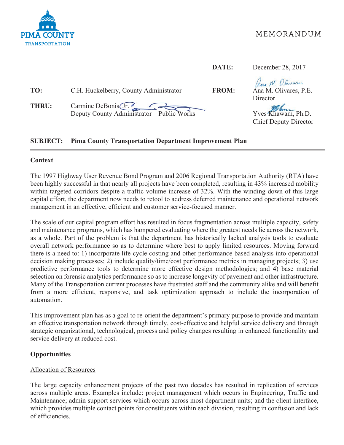

|                                                                                      | DATE:        | December 28, 2017                                                                                         |
|--------------------------------------------------------------------------------------|--------------|-----------------------------------------------------------------------------------------------------------|
| TO:<br>C.H. Huckelberry, County Administrator<br>Carmine DeBonis Gr.<br><b>THRU:</b> | <b>FROM:</b> | Ana M. Olivans<br>Ana M. Olivares, P.E.<br>Director<br>Yves Khawam, Ph.D.<br><b>Chief Deputy Director</b> |

#### **SUBJECT: Pima County Transportation Department Improvement Plan**

# **Context**

The 1997 Highway User Revenue Bond Program and 2006 Regional Transportation Authority (RTA) have been highly successful in that nearly all projects have been completed, resulting in 43% increased mobility within targeted corridors despite a traffic volume increase of 32%. With the winding down of this large capital effort, the department now needs to retool to address deferred maintenance and operational network management in an effective, efficient and customer service-focused manner.

The scale of our capital program effort has resulted in focus fragmentation across multiple capacity, safety and maintenance programs, which has hampered evaluating where the greatest needs lie across the network, as a whole. Part of the problem is that the department has historically lacked analysis tools to evaluate overall network performance so as to determine where best to apply limited resources. Moving forward there is a need to: 1) incorporate life-cycle costing and other performance-based analysis into operational decision making processes; 2) include quality/time/cost performance metrics in managing projects; 3) use predictive performance tools to determine more effective design methodologies; and 4) base material selection on forensic analytics performance so as to increase longevity of pavement and other infrastructure. Many of the Transportation current processes have frustrated staff and the community alike and will benefit from a more efficient, responsive, and task optimization approach to include the incorporation of automation.

This improvement plan has as a goal to re-orient the department's primary purpose to provide and maintain an effective transportation network through timely, cost-effective and helpful service delivery and through strategic organizational, technological, process and policy changes resulting in enhanced functionality and service delivery at reduced cost.

# **Opportunities**

## **Allocation of Resources**

The large capacity enhancement projects of the past two decades has resulted in replication of services across multiple areas. Examples include: project management which occurs in Engineering, Traffic and Maintenance; admin support services which occurs across most department units; and the client interface, which provides multiple contact points for constituents within each division, resulting in confusion and lack of efficiencies.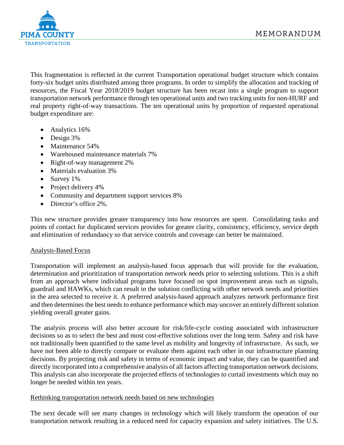

This fragmentation is reflected in the current Transportation operational budget structure which contains forty-six budget units distributed among three programs. In order to simplify the allocation and tracking of resources, the Fiscal Year 2018/2019 budget structure has been recast into a single program to support transportation network performance through ten operational units and two tracking units for non-HURF and real property right-of-way transactions. The ten operational units by proportion of requested operational budget expenditure are:

- Analytics 16%
- Design 3%
- Maintenance 54%
- Warehoused maintenance materials 7%
- Right-of-way management 2%
- Materials evaluation 3%
- Survey 1%
- Project delivery 4%
- Community and department support services 8%
- Director's office 2%.

This new structure provides greater transparency into how resources are spent. Consolidating tasks and points of contact for duplicated services provides for greater clarity, consistency, efficiency, service depth and elimination of redundancy so that service controls and coverage can better be maintained.

# Analysis-Based Focus

Transportation will implement an analysis-based focus approach that will provide for the evaluation, determination and prioritization of transportation network needs prior to selecting solutions. This is a shift from an approach where individual programs have focused on spot improvement areas such as signals, guardrail and HAWKs, which can result in the solution conflicting with other network needs and priorities in the area selected to receive it. A preferred analysis-based approach analyzes network performance first and then determines the best needs to enhance performance which may uncover an entirely different solution yielding overall greater gains.

The analysis process will also better account for risk/life-cycle costing associated with infrastructure decisions so as to select the best and most cost-effective solutions over the long term. Safety and risk have not traditionally been quantified to the same level as mobility and longevity of infrastructure. As such, we have not been able to directly compare or evaluate them against each other in our infrastructure planning decisions. By projecting risk and safety in terms of economic impact and value, they can be quantified and directly incorporated into a comprehensive analysis of all factors affecting transportation network decisions. This analysis can also incorporate the projected effects of technologies to curtail investments which may no longer be needed within ten years.

## Rethinking transportation network needs based on new technologies

The next decade will see many changes in technology which will likely transform the operation of our transportation network resulting in a reduced need for capacity expansion and safety initiatives. The U.S.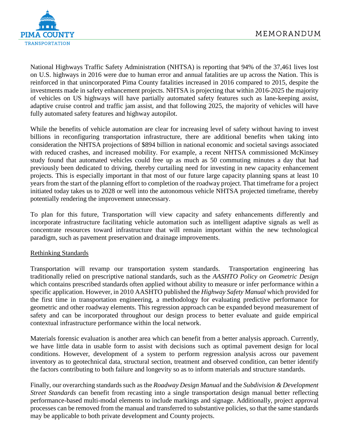

National Highways Traffic Safety Administration (NHTSA) is reporting that 94% of the 37,461 lives lost on U.S. highways in 2016 were due to human error and annual fatalities are up across the Nation. This is reinforced in that unincorporated Pima County fatalities increased in 2016 compared to 2015, despite the investments made in safety enhancement projects. NHTSA is projecting that within 2016-2025 the majority of vehicles on US highways will have partially automated safety features such as lane-keeping assist, adaptive cruise control and traffic jam assist, and that following 2025, the majority of vehicles will have fully automated safety features and highway autopilot.

While the benefits of vehicle automation are clear for increasing level of safety without having to invest billions in reconfiguring transportation infrastructure, there are additional benefits when taking into consideration the NHTSA projections of \$894 billion in national economic and societal savings associated with reduced crashes, and increased mobility. For example, a recent NHTSA commissioned McKinsey study found that automated vehicles could free up as much as 50 commuting minutes a day that had previously been dedicated to driving, thereby curtailing need for investing in new capacity enhancement projects. This is especially important in that most of our future large capacity planning spans at least 10 years from the start of the planning effort to completion of the roadway project. That timeframe for a project initiated today takes us to 2028 or well into the autonomous vehicle NHTSA projected timeframe, thereby potentially rendering the improvement unnecessary.

To plan for this future, Transportation will view capacity and safety enhancements differently and incorporate infrastructure facilitating vehicle automation such as intelligent adaptive signals as well as concentrate resources toward infrastructure that will remain important within the new technological paradigm, such as pavement preservation and drainage improvements.

## Rethinking Standards

Transportation will revamp our transportation system standards. Transportation engineering has traditionally relied on prescriptive national standards, such as the *AASHTO Policy on Geometric Design* which contains prescribed standards often applied without ability to measure or infer performance within a specific application. However, in 2010 AASHTO published the *Highway Safety Manual* which provided for the first time in transportation engineering, a methodology for evaluating predictive performance for geometric and other roadway elements. This regression approach can be expanded beyond measurement of safety and can be incorporated throughout our design process to better evaluate and guide empirical contextual infrastructure performance within the local network.

Materials forensic evaluation is another area which can benefit from a better analysis approach. Currently, we have little data in usable form to assist with decisions such as optimal pavement design for local conditions. However, development of a system to perform regression analysis across our pavement inventory as to geotechnical data, structural section, treatment and observed condition, can better identify the factors contributing to both failure and longevity so as to inform materials and structure standards.

Finally, our overarching standards such as the *Roadway Design Manual* and the *Subdivision & Development Street Standards* can benefit from recasting into a single transportation design manual better reflecting performance-based multi-modal elements to include markings and signage. Additionally, project approval processes can be removed from the manual and transferred to substantive policies, so that the same standards may be applicable to both private development and County projects.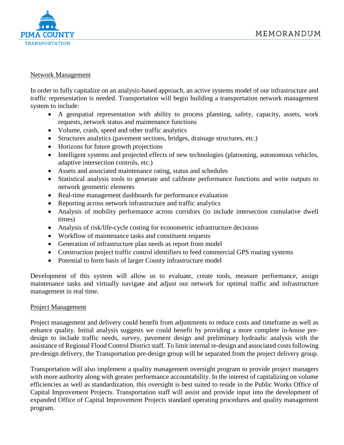

## Network Management

In order to fully capitalize on an analysis-based approach, an active systems model of our infrastructure and traffic representation is needed. Transportation will begin building a transportation network management system to include:

- A geospatial representation with ability to process planning, safety, capacity, assets, work requests, network status and maintenance functions
- Volume, crash, speed and other traffic analytics
- Structures analytics (pavement sections, bridges, drainage structures, etc.)
- Horizons for future growth projections
- Intelligent systems and projected effects of new technologies (platooning, autonomous vehicles, adaptive intersection controls, etc.)
- Assets and associated maintenance rating, status and schedules
- Statistical analysis tools to generate and calibrate performance functions and write outputs to network geometric elements
- Real-time management dashboards for performance evaluation
- Reporting across network infrastructure and traffic analytics
- Analysis of mobility performance across corridors (to include intersection cumulative dwell times)
- Analysis of risk/life-cycle costing for econometric infrastructure decisions
- Workflow of maintenance tasks and constituent requests
- Generation of infrastructure plan needs as report from model
- Construction project traffic control identifiers to feed commercial GPS routing systems
- Potential to form basis of larger County infrastructure model

Development of this system will allow us to evaluate, create tools, measure performance, assign maintenance tasks and virtually navigate and adjust our network for optimal traffic and infrastructure management in real time.

## Project Management

Project management and delivery could benefit from adjustments to reduce costs and timeframe as well as enhance quality. Initial analysis suggests we could benefit by providing a more complete in-house predesign to include traffic needs, survey, pavement design and preliminary hydraulic analysis with the assistance of Regional Flood Control District staff. To limit internal re-design and associated costs following pre-design delivery, the Transportation pre-design group will be separated from the project delivery group.

Transportation will also implement a quality management oversight program to provide project managers with more authority along with greater performance accountability. In the interest of capitalizing on volume efficiencies as well as standardization, this oversight is best suited to reside in the Public Works Office of Capital Improvement Projects. Transportation staff will assist and provide input into the development of expanded Office of Capital Improvement Projects standard operating procedures and quality management program.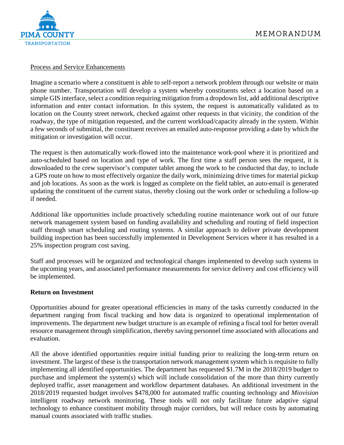

# Process and Service Enhancements

Imagine a scenario where a constituent is able to self-report a network problem through our website or main phone number. Transportation will develop a system whereby constituents select a location based on a simple GIS interface, select a condition requiring mitigation from a dropdown list, add additional descriptive information and enter contact information. In this system, the request is automatically validated as to location on the County street network, checked against other requests in that vicinity, the condition of the roadway, the type of mitigation requested, and the current workload/capacity already in the system. Within a few seconds of submittal, the constituent receives an emailed auto-response providing a date by which the mitigation or investigation will occur.

The request is then automatically work-flowed into the maintenance work-pool where it is prioritized and auto-scheduled based on location and type of work. The first time a staff person sees the request, it is downloaded to the crew supervisor's computer tablet among the work to be conducted that day, to include a GPS route on how to most effectively organize the daily work, minimizing drive times for material pickup and job locations. As soon as the work is logged as complete on the field tablet, an auto-email is generated updating the constituent of the current status, thereby closing out the work order or scheduling a follow-up if needed.

Additional like opportunities include proactively scheduling routine maintenance work out of our future network management system based on funding availability and scheduling and routing of field inspection staff through smart scheduling and routing systems. A similar approach to deliver private development building inspection has been successfully implemented in Development Services where it has resulted in a 25% inspection program cost saving.

Staff and processes will be organized and technological changes implemented to develop such systems in the upcoming years, and associated performance measurements for service delivery and cost efficiency will be implemented.

## **Return on Investment**

Opportunities abound for greater operational efficiencies in many of the tasks currently conducted in the department ranging from fiscal tracking and how data is organized to operational implementation of improvements. The department new budget structure is an example of refining a fiscal tool for better overall resource management through simplification, thereby saving personnel time associated with allocations and evaluation.

All the above identified opportunities require initial funding prior to realizing the long-term return on investment. The largest of these is the transportation network management system which is requisite to fully implementing all identified opportunities. The department has requested \$1.7M in the 2018/2019 budget to purchase and implement the system(s) which will include consolidation of the more than thirty currently deployed traffic, asset management and workflow department databases. An additional investment in the 2018/2019 requested budget involves \$478,000 for automated traffic counting technology and *Miovision* intelligent roadway network monitoring. These tools will not only facilitate future adaptive signal technology to enhance constituent mobility through major corridors, but will reduce costs by automating manual counts associated with traffic studies.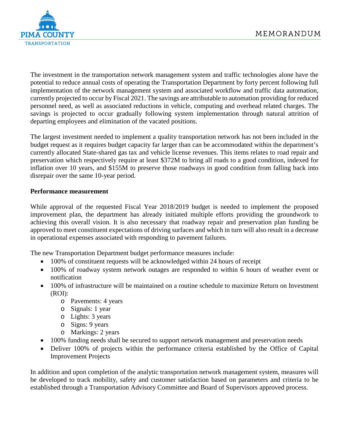

The investment in the transportation network management system and traffic technologies alone have the potential to reduce annual costs of operating the Transportation Department by forty percent following full implementation of the network management system and associated workflow and traffic data automation, currently projected to occur by Fiscal 2021. The savings are attributable to automation providing for reduced personnel need, as well as associated reductions in vehicle, computing and overhead related charges. The savings is projected to occur gradually following system implementation through natural attrition of departing employees and elimination of the vacated positions.

The largest investment needed to implement a quality transportation network has not been included in the budget request as it requires budget capacity far larger than can be accommodated within the department's currently allocated State-shared gas tax and vehicle license revenues. This items relates to road repair and preservation which respectively require at least \$372M to bring all roads to a good condition, indexed for inflation over 10 years, and \$155M to preserve those roadways in good condition from falling back into disrepair over the same 10-year period.

# **Performance measurement**

While approval of the requested Fiscal Year 2018/2019 budget is needed to implement the proposed improvement plan, the department has already initiated multiple efforts providing the groundwork to achieving this overall vision. It is also necessary that roadway repair and preservation plan funding be approved to meet constituent expectations of driving surfaces and which in turn will also result in a decrease in operational expenses associated with responding to pavement failures.

The new Transportation Department budget performance measures include:

- 100% of constituent requests will be acknowledged within 24 hours of receipt
- 100% of roadway system network outages are responded to within 6 hours of weather event or notification
- 100% of infrastructure will be maintained on a routine schedule to maximize Return on Investment (ROI):
	- o Pavements: 4 years
	- o Signals: 1 year
	- o Lights: 3 years
	- o Signs: 9 years
	- o Markings: 2 years
- 100% funding needs shall be secured to support network management and preservation needs
- Deliver 100% of projects within the performance criteria established by the Office of Capital Improvement Projects

In addition and upon completion of the analytic transportation network management system, measures will be developed to track mobility, safety and customer satisfaction based on parameters and criteria to be established through a Transportation Advisory Committee and Board of Supervisors approved process.